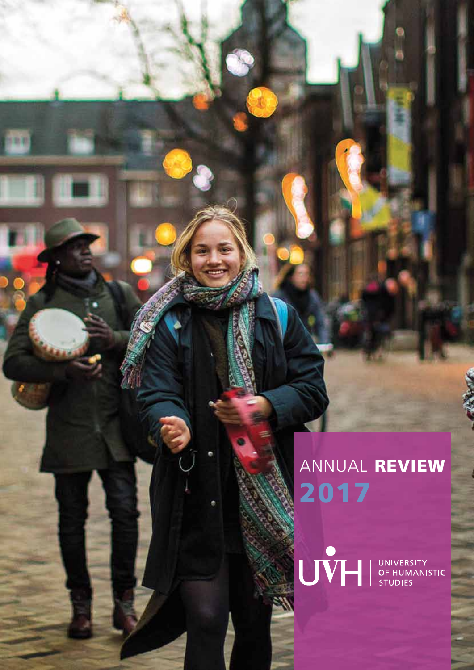# ANNUAL REVIEW 2017

**Millip River** 

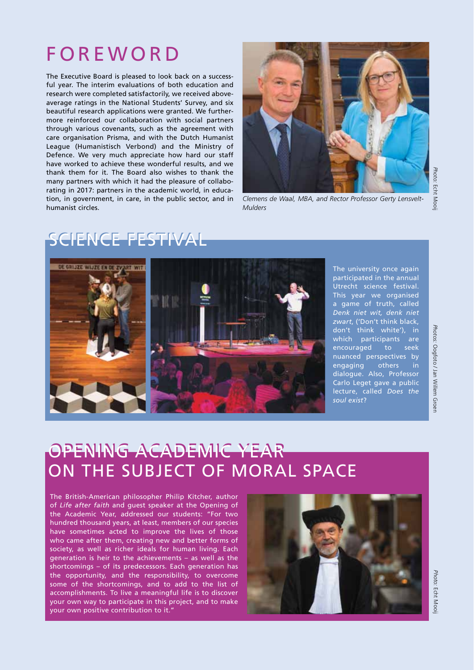# **FOREWORD**

The Executive Board is pleased to look back on a successful year. The interim evaluations of both education and research were completed satisfactorily, we received aboveaverage ratings in the National Students' Survey, and six beautiful research applications were granted. We furthermore reinforced our collaboration with social partners through various covenants, such as the agreement with care organisation Prisma, and with the Dutch Humanist League (Humanistisch Verbond) and the Ministry of Defence. We very much appreciate how hard our staff have worked to achieve these wonderful results, and we thank them for it. The Board also wishes to thank the many partners with which it had the pleasure of collaborating in 2017: partners in the academic world, in education, in government, in care, in the public sector, and in humanist circles.



*Clemens de Waal, MBA, and Rector Professor Gerty Lensvelt-*

## *Photo:* Echt Mooij

## SCIENCE FESTIVAL



*Mulders*

The university once again participated in the annual Utrecht science festival. This year we organised a game of truth, called *Denk niet wit, denk niet zwart*, ('Don't think black, don't think white'), in which participants are encouraged to seek nuanced perspectives by engaging others in dialogue. Also, Professor Carlo Leget gave a public lecture, called *Does the soul exist*?

## Opening Academic Year Opening Academic Year ON THE SUBJECT OF MORAL SPACE

The British-American philosopher Philip Kitcher, author of *Life after faith* and guest speaker at the Opening of the Academic Year, addressed our students: "For two hundred thousand years, at least, members of our species have sometimes acted to improve the lives of those who came after them, creating new and better forms of society, as well as richer ideals for human living. Each generation is heir to the achievements – as well as the shortcomings – of its predecessors. Each generation has the opportunity, and the responsibility, to overcome some of the shortcomings, and to add to the list of accomplishments. To live a meaningful life is to discover your own way to participate in this project, and to make your own positive contribution to it."



*Photo:* Echt Mooij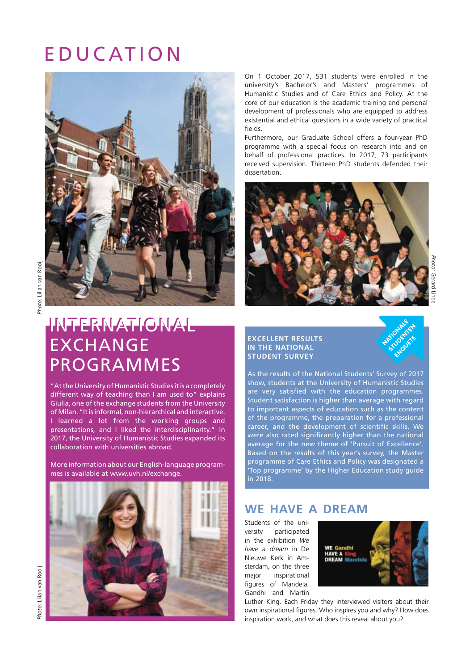## **EDUCATION**



On 1 October 2017, 531 students were enrolled in the university's Bachelor's and Masters' programmes of Humanistic Studies and of Care Ethics and Policy. At the core of our education is the academic training and personal development of professionals who are equipped to address existential and ethical questions in a wide variety of practical fields. 

Furthermore, our Graduate School offers a four-year PhD programme with a special focus on research into and on behalf of professional practices. In 2017, 73 participants received supervision. Thirteen PhD students defended their dissertation.



## inteRnational inteRnational eXchange eXchange PRogRaMMes PRogRaMMes

"At the University of Humanistic Studies it is a completely different way of teaching than I am used to" explains giulia, one of the exchange students from the University of Milan. "it is informal, non-hierarchical and interactive. i learned a lot from the working groups and presentations, and i liked the interdisciplinarity." in 2017, the University of Humanistic Studies expanded its collaboration with universities abroad.

More information about our English-language programmes is available at www.uvh.nl/exchange.



#### **EXCELLENT RESULTS IN THE NATIONAL STUDENT SURVEY**

As the results of the National Students' Survey of 2017 show, students at the University of humanistic studies are very satisfied with the education programmes. student satisfaction is higher than average with regard to important aspects of education such as the content of the programme, the preparation for a professional career, and the development of scientific skills. we were also rated significantly higher than the national average for the new theme of 'Pursuit of Excellence'. Based on the results of this year's survey, the Master programme of Care Ethics and Policy was designated a 'Top programme' by the Higher Education study guide in 2018.

## **We have a dream**

Students of the university participated in the exhibition *We have a dream* in De Nieuwe Kerk in Amsterdam, on the three major inspirational figures of Mandela, Gandhi and Martin



Luther King. Each Friday they interviewed visitors about their own inspirational figures. Who inspires you and why? How does inspiration work, and what does this reveal about you?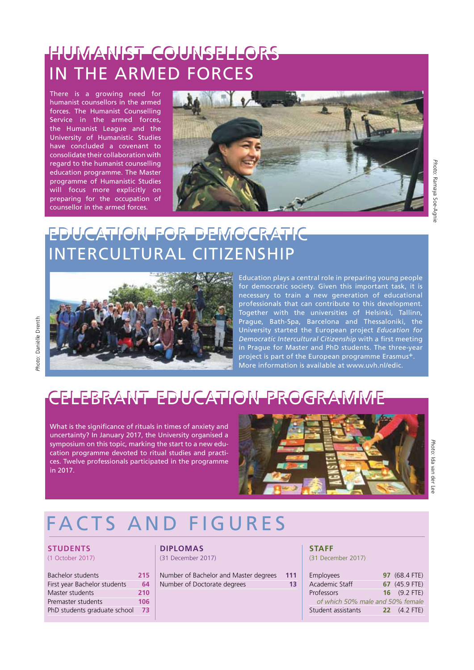# hUManist coUnselloRs hUManist coUnselloRs IN THE ARMED FORCES

humanist counsellors in the armed forces. The Humanist Counselling service in the armed forces, the humanist league and the University of humanistic studies have concluded a covenant to consolidate their collaboration with regard to the humanist counselling education programme. The Master programme of humanistic studies will focus more explicitly on preparing for the occupation of counsellor in the armed forces.



## edUcation foR deMocRatic edUcation foR deMocRatic inteRcUltURal citizenshiP inteRcUltURal citizenshiP



## celeBRant edUcation PRogRaMMe celeBRant edUcation PRogRaMMe

What is the significance of rituals in times of anxiety and uncertainty? in January 2017, the University organised a symposium on this topic, marking the start to a new education programme devoted to ritual studies and practices. twelve professionals participated in the programme in 2017.



Education plays a central role in preparing young people for democratic society. Given this important task, it is necessary to train a new generation of educational professionals that can contribute to this development. Together with the universities of Helsinki, Tallinn, Prague, Bath-Spa, Barcelona and Thessaloniki, the University started the european project *Education for*  **Democratic Intercultural Citizenship** with a first meeting in Prague for Master and PhD students. The three-year project is part of the European programme Erasmus+ More information is available at www.uvh.nl/edic.

# facts and figURes

#### **STUDENTS**

#### (1 October 2017)

| Bachelor students            | 215 |
|------------------------------|-----|
| First year Bachelor students | 64  |
| Master students              | 210 |
| Premaster students           | 106 |
| PhD students graduate school |     |
|                              |     |

#### **DIPLOMAS**  (31 December 2017)

| Number of Bachelor and Master degrees | 111 |
|---------------------------------------|-----|
| Number of Doctorate degrees           | 13  |

#### **STAFF**

(31 December 2017)

| <b>Employees</b>                 | 97 (68.4 FTE)         |
|----------------------------------|-----------------------|
| Academic Staff                   | 67 (45.9 FTE)         |
| Professors                       | 16 $(9.2$ FTE)        |
| of which 50% male and 50% female |                       |
| Student assistants               | <b>22</b> $(4.2$ FTE) |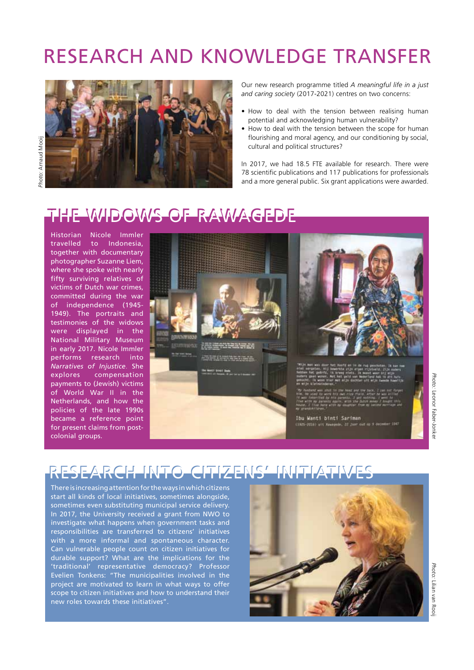# Research and knowledge transfer



Our new research programme titled *A meaningful life in a just and caring society* (2017-2021) centres on two concerns:

- How to deal with the tension between realising human potential and acknowledging human vulnerability?
- How to deal with the tension between the scope for human flourishing and moral agency, and our conditioning by social, cultural and political structures?

In 2017, we had 18.5 FTE available for research. There were 78 scientific publications and 117 publications for professionals and a more general public. Six grant applications were awarded.

## The widows of Rawagede The widows of Rawagede

Historian Nicole Immler travelled to Indonesia, together with documentary photographer Suzanne Liem, where she spoke with nearly fifty surviving relatives of victims of Dutch war crimes, committed during the war of independence (1945- 1949). The portraits and testimonies of the widows were displayed in the National Military Museum in early 2017. Nicole Immler performs research into *Narratives of Injustice*. She explores compensation payments to (Jewish) victims of World War II in the Netherlands, and how the policies of the late 1990s became a reference point for present claims from postcolonial groups.



# Research into citizens' initiatives Research into citizens' initiatives

There is increasing attention for the ways in which citizens start all kinds of local initiatives, sometimes alongside, sometimes even substituting municipal service delivery. In 2017, the University received a grant from NWO to investigate what happens when government tasks and responsibilities are transferred to citizens' initiatives with a more informal and spontaneous character. Can vulnerable people count on citizen initiatives for durable support? What are the implications for the 'traditional' representative democracy? Professor Evelien Tonkens: "The municipalities involved in the project are motivated to learn in what ways to offer scope to citizen initiatives and how to understand their new roles towards these initiatives".



*Photo:* Leonor Faber-Jonker